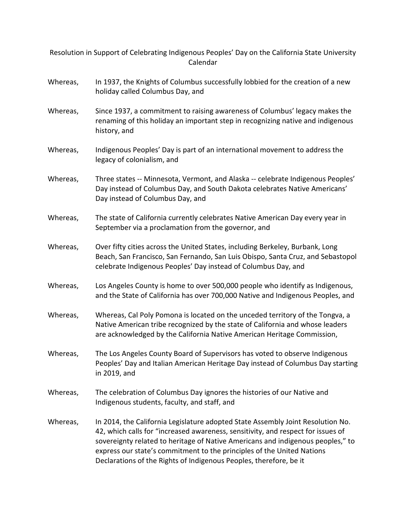Resolution in Support of Celebrating Indigenous Peoples' Day on the California State University Calendar

## Whereas, In 1937, the Knights of Columbus successfully lobbied for the creation of a new holiday called Columbus Day, and

- Whereas, Since 1937, a commitment to raising awareness of Columbus' legacy makes the renaming of this holiday an important step in recognizing native and indigenous history, and
- Whereas, Indigenous Peoples' Day is part of an international movement to address the legacy of colonialism, and
- Whereas, Three states -- Minnesota, Vermont, and Alaska -- celebrate Indigenous Peoples' Day instead of Columbus Day, and South Dakota celebrates Native Americans' Day instead of Columbus Day, and
- Whereas, The state of California currently celebrates Native American Day every year in September via a proclamation from the governor, and
- Whereas, Over fifty cities across the United States, including Berkeley, Burbank, Long Beach, San Francisco, San Fernando, San Luis Obispo, Santa Cruz, and Sebastopol celebrate Indigenous Peoples' Day instead of Columbus Day, and
- Whereas, Los Angeles County is home to over 500,000 people who identify as Indigenous, and the State of California has over 700,000 Native and Indigenous Peoples, and
- Whereas, Whereas, Cal Poly Pomona is located on the unceded territory of the Tongva, a Native American tribe recognized by the state of California and whose leaders are acknowledged by the California Native American Heritage Commission,
- Whereas, The Los Angeles County Board of Supervisors has voted to observe Indigenous Peoples' Day and Italian American Heritage Day instead of Columbus Day starting in 2019, and
- Whereas, The celebration of Columbus Day ignores the histories of our Native and Indigenous students, faculty, and staff, and
- Whereas, In 2014, the California Legislature adopted State Assembly Joint Resolution No. 42, which calls for "increased awareness, sensitivity, and respect for issues of sovereignty related to heritage of Native Americans and indigenous peoples," to express our state's commitment to the principles of the United Nations Declarations of the Rights of Indigenous Peoples, therefore, be it